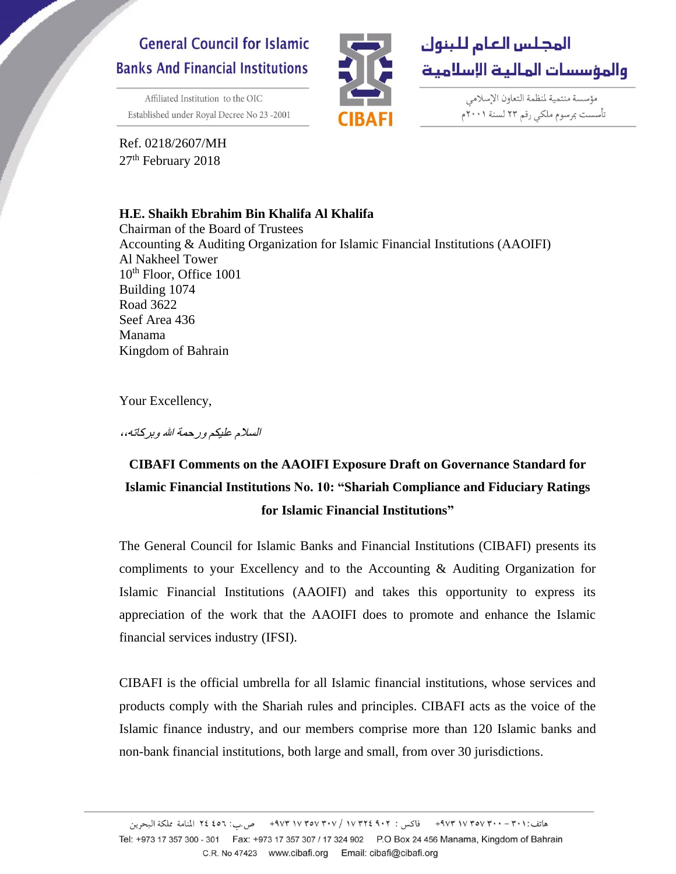# **General Council for Islamic Banks And Financial Institutions**

Affiliated Institution to the OIC Established under Royal Decree No 23-2001





مؤسسة منتمية لمنظمة التعاون الإسلامي تأسست بمرسوم ملكي رقم ٢٣ لسنة ٢٠٠١م

Ref. 0218/2607/MH 27<sup>th</sup> February 2018

# **H.E. Shaikh Ebrahim Bin Khalifa Al Khalifa**

Chairman of the Board of Trustees Accounting & Auditing Organization for Islamic Financial Institutions (AAOIFI) Al Nakheel Tower 10<sup>th</sup> Floor, Office 1001 Building 1074 Road 3622 Seef Area 436 Manama Kingdom of Bahrain

Your Excellency,

السالم عليكم ورحمة هللا وبركاته**،،**

# **CIBAFI Comments on the AAOIFI Exposure Draft on Governance Standard for Islamic Financial Institutions No. 10: "Shariah Compliance and Fiduciary Ratings for Islamic Financial Institutions"**

The General Council for Islamic Banks and Financial Institutions (CIBAFI) presents its compliments to your Excellency and to the Accounting & Auditing Organization for Islamic Financial Institutions (AAOIFI) and takes this opportunity to express its appreciation of the work that the AAOIFI does to promote and enhance the Islamic financial services industry (IFSI).

CIBAFI is the official umbrella for all Islamic financial institutions, whose services and products comply with the Shariah rules and principles. CIBAFI acts as the voice of the Islamic finance industry, and our members comprise more than 120 Islamic banks and non-bank financial institutions, both large and small, from over 30 jurisdictions.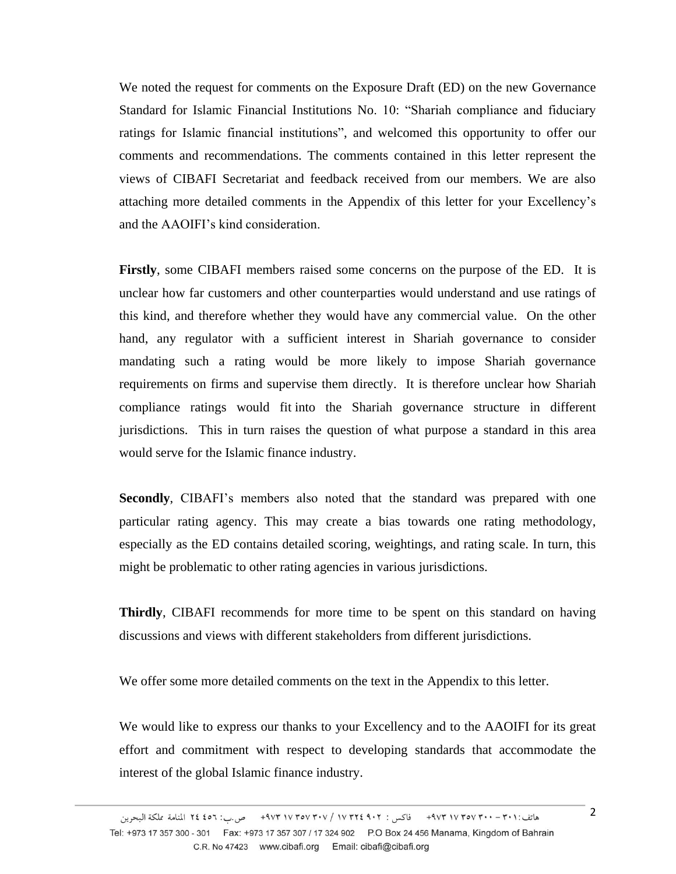We noted the request for comments on the Exposure Draft (ED) on the new Governance Standard for Islamic Financial Institutions No. 10: "Shariah compliance and fiduciary ratings for Islamic financial institutions", and welcomed this opportunity to offer our comments and recommendations. The comments contained in this letter represent the views of CIBAFI Secretariat and feedback received from our members. We are also attaching more detailed comments in the Appendix of this letter for your Excellency's and the AAOIFI's kind consideration.

**Firstly**, some CIBAFI members raised some concerns on the purpose of the ED. It is unclear how far customers and other counterparties would understand and use ratings of this kind, and therefore whether they would have any commercial value. On the other hand, any regulator with a sufficient interest in Shariah governance to consider mandating such a rating would be more likely to impose Shariah governance requirements on firms and supervise them directly. It is therefore unclear how Shariah compliance ratings would fit into the Shariah governance structure in different jurisdictions. This in turn raises the question of what purpose a standard in this area would serve for the Islamic finance industry.

**Secondly**, CIBAFI's members also noted that the standard was prepared with one particular rating agency. This may create a bias towards one rating methodology, especially as the ED contains detailed scoring, weightings, and rating scale. In turn, this might be problematic to other rating agencies in various jurisdictions.

**Thirdly**, CIBAFI recommends for more time to be spent on this standard on having discussions and views with different stakeholders from different jurisdictions.

We offer some more detailed comments on the text in the Appendix to this letter.

We would like to express our thanks to your Excellency and to the AAOIFI for its great effort and commitment with respect to developing standards that accommodate the interest of the global Islamic finance industry.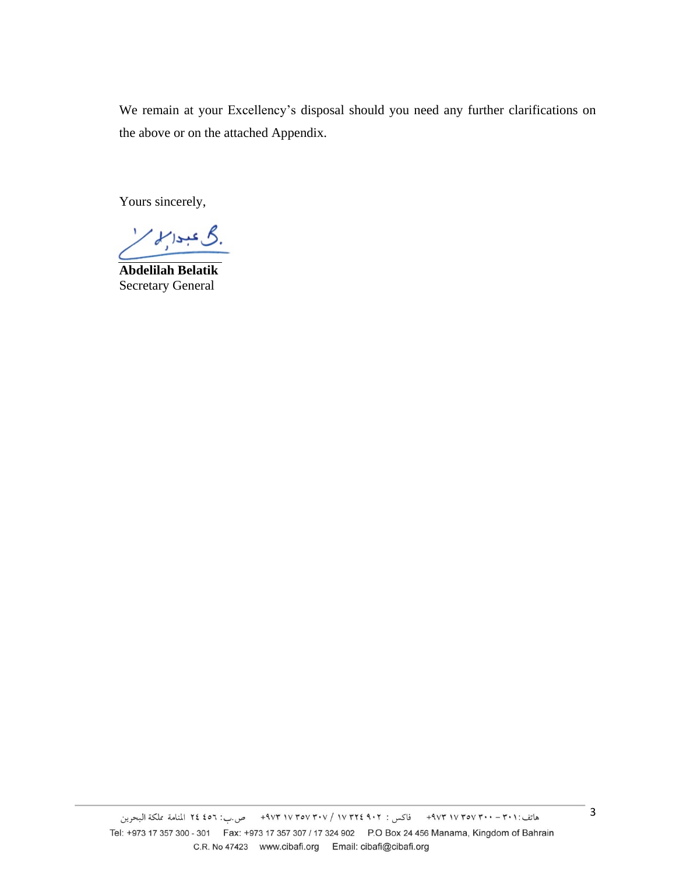We remain at your Excellency's disposal should you need any further clarifications on the above or on the attached Appendix.

Yours sincerely,

گ عبدالملم'

**Abdelilah Belatik** Secretary General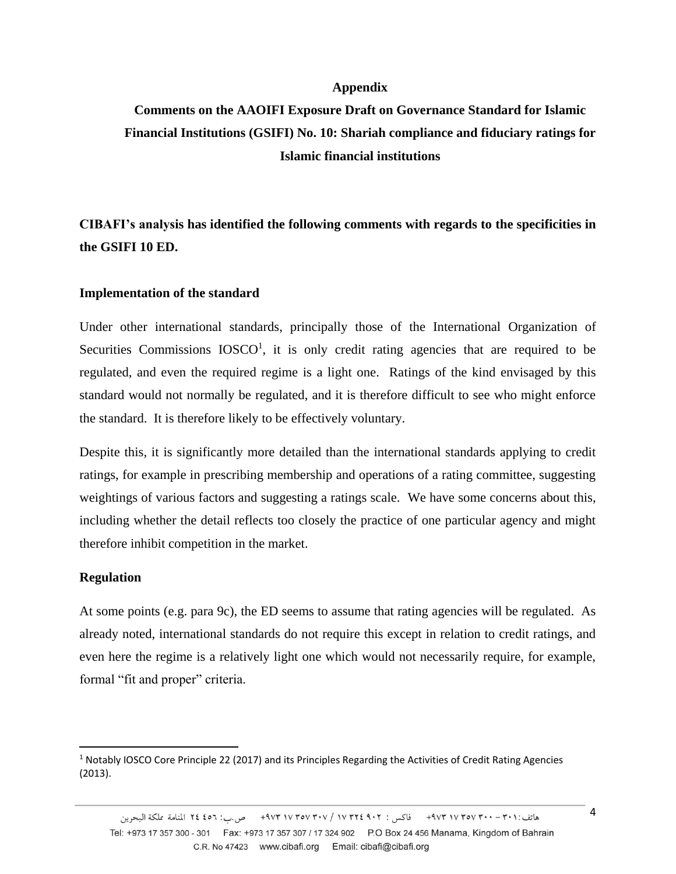### **Appendix**

# **Comments on the AAOIFI Exposure Draft on Governance Standard for Islamic Financial Institutions (GSIFI) No. 10: Shariah compliance and fiduciary ratings for Islamic financial institutions**

**CIBAFI's analysis has identified the following comments with regards to the specificities in the GSIFI 10 ED.**

## **Implementation of the standard**

Under other international standards, principally those of the International Organization of Securities Commissions  $IOSCO<sup>1</sup>$ , it is only credit rating agencies that are required to be regulated, and even the required regime is a light one. Ratings of the kind envisaged by this standard would not normally be regulated, and it is therefore difficult to see who might enforce the standard. It is therefore likely to be effectively voluntary.

Despite this, it is significantly more detailed than the international standards applying to credit ratings, for example in prescribing membership and operations of a rating committee, suggesting weightings of various factors and suggesting a ratings scale. We have some concerns about this, including whether the detail reflects too closely the practice of one particular agency and might therefore inhibit competition in the market.

#### **Regulation**

 $\overline{\phantom{a}}$ 

At some points (e.g. para 9c), the ED seems to assume that rating agencies will be regulated. As already noted, international standards do not require this except in relation to credit ratings, and even here the regime is a relatively light one which would not necessarily require, for example, formal "fit and proper" criteria.

<sup>&</sup>lt;sup>1</sup> Notably IOSCO Core Principle 22 (2017) and its Principles Regarding the Activities of Credit Rating Agencies (2013).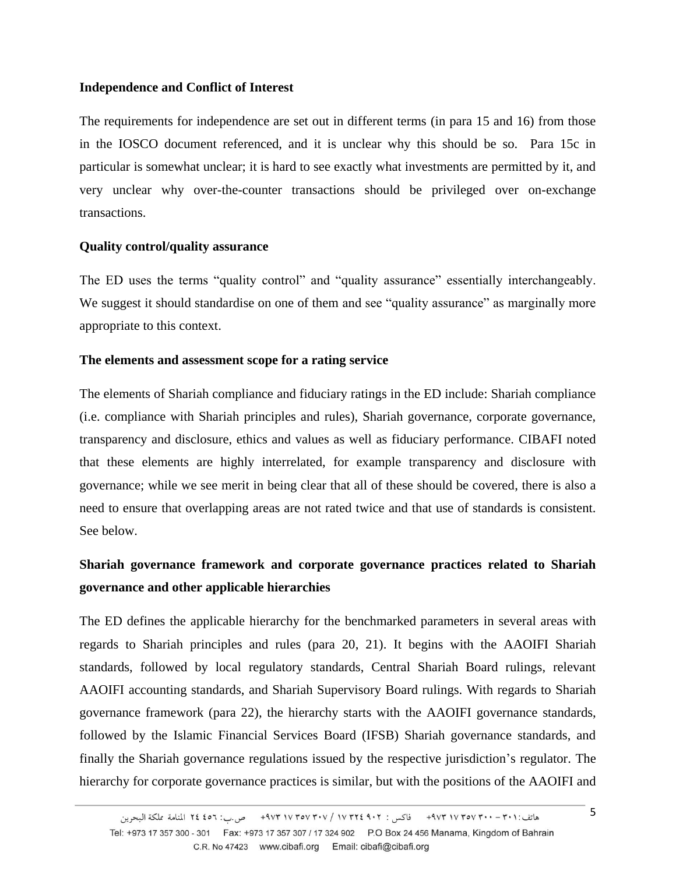# **Independence and Conflict of Interest**

The requirements for independence are set out in different terms (in para 15 and 16) from those in the IOSCO document referenced, and it is unclear why this should be so. Para 15c in particular is somewhat unclear; it is hard to see exactly what investments are permitted by it, and very unclear why over-the-counter transactions should be privileged over on-exchange transactions.

# **Quality control/quality assurance**

The ED uses the terms "quality control" and "quality assurance" essentially interchangeably. We suggest it should standardise on one of them and see "quality assurance" as marginally more appropriate to this context.

# **The elements and assessment scope for a rating service**

The elements of Shariah compliance and fiduciary ratings in the ED include: Shariah compliance (i.e. compliance with Shariah principles and rules), Shariah governance, corporate governance, transparency and disclosure, ethics and values as well as fiduciary performance. CIBAFI noted that these elements are highly interrelated, for example transparency and disclosure with governance; while we see merit in being clear that all of these should be covered, there is also a need to ensure that overlapping areas are not rated twice and that use of standards is consistent. See below.

# **Shariah governance framework and corporate governance practices related to Shariah governance and other applicable hierarchies**

The ED defines the applicable hierarchy for the benchmarked parameters in several areas with regards to Shariah principles and rules (para 20, 21). It begins with the AAOIFI Shariah standards, followed by local regulatory standards, Central Shariah Board rulings, relevant AAOIFI accounting standards, and Shariah Supervisory Board rulings. With regards to Shariah governance framework (para 22), the hierarchy starts with the AAOIFI governance standards, followed by the Islamic Financial Services Board (IFSB) Shariah governance standards, and finally the Shariah governance regulations issued by the respective jurisdiction's regulator. The hierarchy for corporate governance practices is similar, but with the positions of the AAOIFI and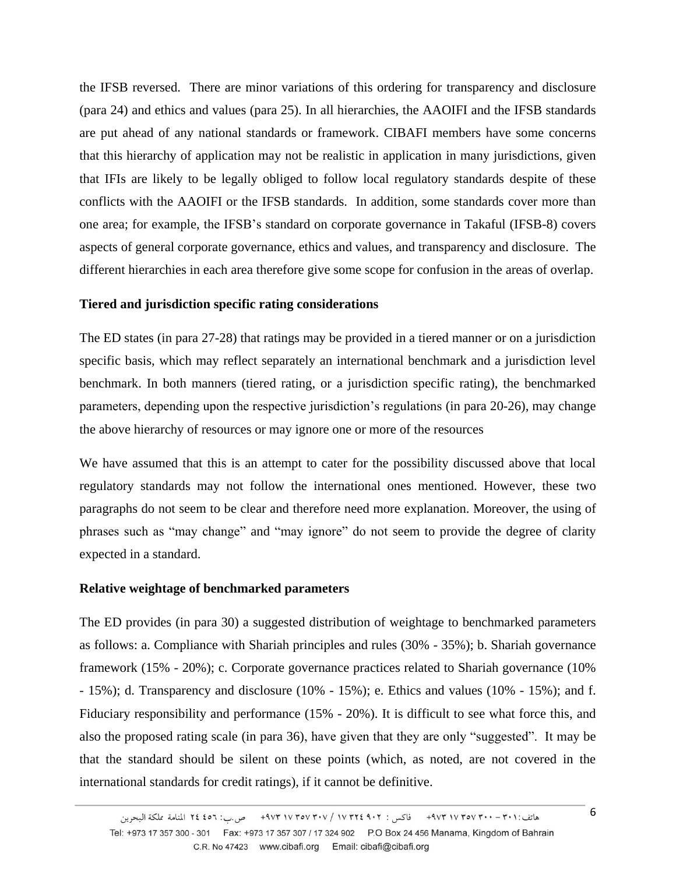the IFSB reversed. There are minor variations of this ordering for transparency and disclosure (para 24) and ethics and values (para 25). In all hierarchies, the AAOIFI and the IFSB standards are put ahead of any national standards or framework. CIBAFI members have some concerns that this hierarchy of application may not be realistic in application in many jurisdictions, given that IFIs are likely to be legally obliged to follow local regulatory standards despite of these conflicts with the AAOIFI or the IFSB standards. In addition, some standards cover more than one area; for example, the IFSB's standard on corporate governance in Takaful (IFSB-8) covers aspects of general corporate governance, ethics and values, and transparency and disclosure. The different hierarchies in each area therefore give some scope for confusion in the areas of overlap.

## **Tiered and jurisdiction specific rating considerations**

The ED states (in para 27-28) that ratings may be provided in a tiered manner or on a jurisdiction specific basis, which may reflect separately an international benchmark and a jurisdiction level benchmark. In both manners (tiered rating, or a jurisdiction specific rating), the benchmarked parameters, depending upon the respective jurisdiction's regulations (in para 20-26), may change the above hierarchy of resources or may ignore one or more of the resources

We have assumed that this is an attempt to cater for the possibility discussed above that local regulatory standards may not follow the international ones mentioned. However, these two paragraphs do not seem to be clear and therefore need more explanation. Moreover, the using of phrases such as "may change" and "may ignore" do not seem to provide the degree of clarity expected in a standard.

#### **Relative weightage of benchmarked parameters**

The ED provides (in para 30) a suggested distribution of weightage to benchmarked parameters as follows: a. Compliance with Shariah principles and rules (30% - 35%); b. Shariah governance framework (15% - 20%); c. Corporate governance practices related to Shariah governance (10% - 15%); d. Transparency and disclosure (10% - 15%); e. Ethics and values (10% - 15%); and f. Fiduciary responsibility and performance (15% - 20%). It is difficult to see what force this, and also the proposed rating scale (in para 36), have given that they are only "suggested". It may be that the standard should be silent on these points (which, as noted, are not covered in the international standards for credit ratings), if it cannot be definitive.